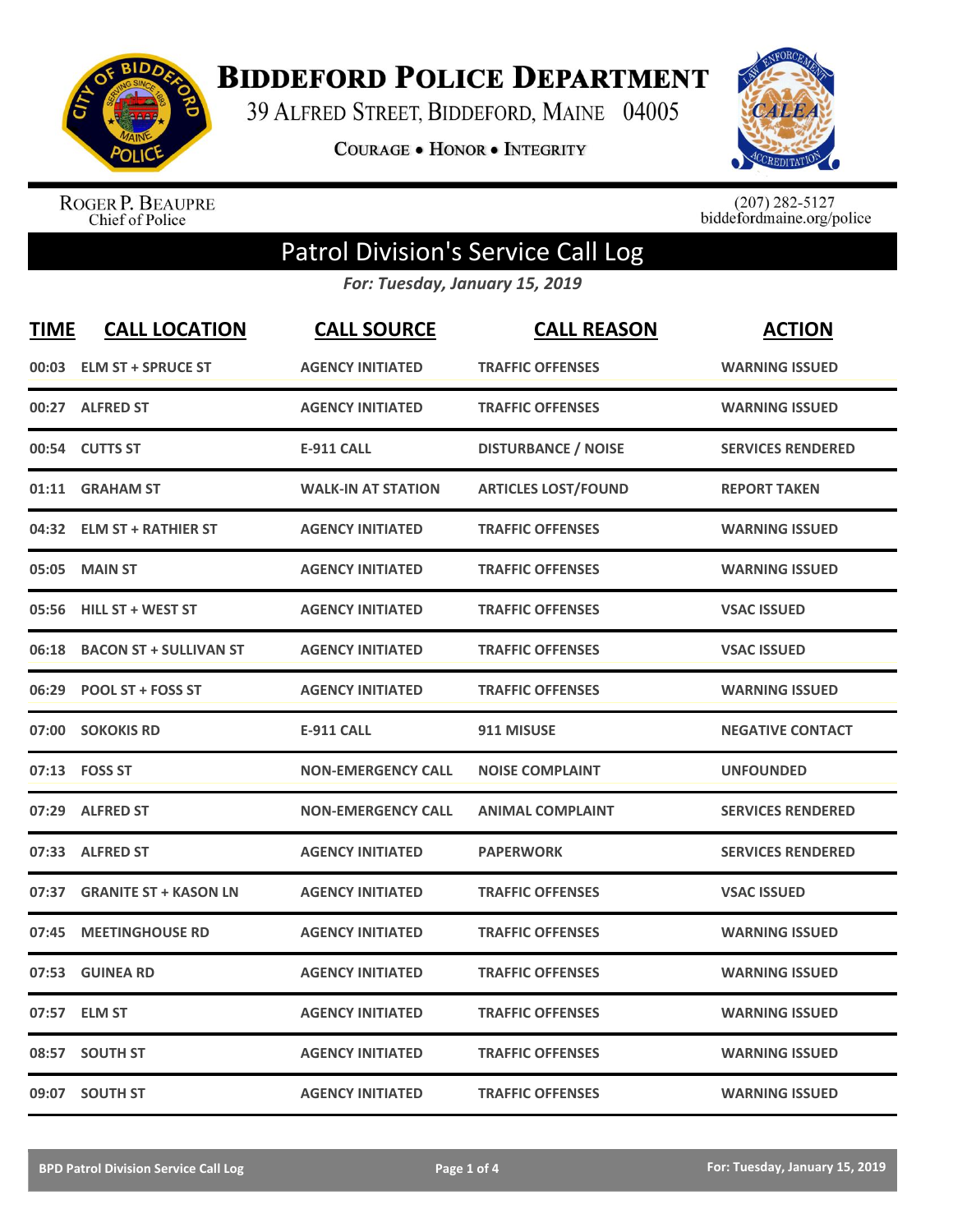

**BIDDEFORD POLICE DEPARTMENT** 

39 ALFRED STREET, BIDDEFORD, MAINE 04005

**COURAGE . HONOR . INTEGRITY** 



ROGER P. BEAUPRE<br>Chief of Police

 $(207)$  282-5127<br>biddefordmaine.org/police

## Patrol Division's Service Call Log

*For: Tuesday, January 15, 2019*

| <b>TIME</b> | <b>CALL LOCATION</b>          | <b>CALL SOURCE</b>        | <b>CALL REASON</b>         | <b>ACTION</b>            |
|-------------|-------------------------------|---------------------------|----------------------------|--------------------------|
| 00:03       | <b>ELM ST + SPRUCE ST</b>     | <b>AGENCY INITIATED</b>   | <b>TRAFFIC OFFENSES</b>    | <b>WARNING ISSUED</b>    |
|             | 00:27 ALFRED ST               | <b>AGENCY INITIATED</b>   | <b>TRAFFIC OFFENSES</b>    | <b>WARNING ISSUED</b>    |
| 00:54       | <b>CUTTS ST</b>               | <b>E-911 CALL</b>         | <b>DISTURBANCE / NOISE</b> | <b>SERVICES RENDERED</b> |
| 01:11       | <b>GRAHAM ST</b>              | <b>WALK-IN AT STATION</b> | <b>ARTICLES LOST/FOUND</b> | <b>REPORT TAKEN</b>      |
|             | 04:32 ELM ST + RATHIER ST     | <b>AGENCY INITIATED</b>   | <b>TRAFFIC OFFENSES</b>    | <b>WARNING ISSUED</b>    |
| 05:05       | <b>MAIN ST</b>                | <b>AGENCY INITIATED</b>   | <b>TRAFFIC OFFENSES</b>    | <b>WARNING ISSUED</b>    |
| 05:56       | <b>HILL ST + WEST ST</b>      | <b>AGENCY INITIATED</b>   | <b>TRAFFIC OFFENSES</b>    | <b>VSAC ISSUED</b>       |
| 06:18       | <b>BACON ST + SULLIVAN ST</b> | <b>AGENCY INITIATED</b>   | <b>TRAFFIC OFFENSES</b>    | <b>VSAC ISSUED</b>       |
| 06:29       | <b>POOL ST + FOSS ST</b>      | <b>AGENCY INITIATED</b>   | <b>TRAFFIC OFFENSES</b>    | <b>WARNING ISSUED</b>    |
|             | 07:00 SOKOKIS RD              | <b>E-911 CALL</b>         | 911 MISUSE                 | <b>NEGATIVE CONTACT</b>  |
|             | 07:13 FOSS ST                 | <b>NON-EMERGENCY CALL</b> | <b>NOISE COMPLAINT</b>     | <b>UNFOUNDED</b>         |
| 07:29       | <b>ALFRED ST</b>              | <b>NON-EMERGENCY CALL</b> | <b>ANIMAL COMPLAINT</b>    | <b>SERVICES RENDERED</b> |
| 07:33       | <b>ALFRED ST</b>              | <b>AGENCY INITIATED</b>   | <b>PAPERWORK</b>           | <b>SERVICES RENDERED</b> |
| 07:37       | <b>GRANITE ST + KASON LN</b>  | <b>AGENCY INITIATED</b>   | <b>TRAFFIC OFFENSES</b>    | <b>VSAC ISSUED</b>       |
| 07:45       | <b>MEETINGHOUSE RD</b>        | <b>AGENCY INITIATED</b>   | <b>TRAFFIC OFFENSES</b>    | <b>WARNING ISSUED</b>    |
| 07:53       | <b>GUINEA RD</b>              | <b>AGENCY INITIATED</b>   | <b>TRAFFIC OFFENSES</b>    | <b>WARNING ISSUED</b>    |
| 07:57       | <b>ELM ST</b>                 | <b>AGENCY INITIATED</b>   | <b>TRAFFIC OFFENSES</b>    | <b>WARNING ISSUED</b>    |
| 08:57       | <b>SOUTH ST</b>               | <b>AGENCY INITIATED</b>   | <b>TRAFFIC OFFENSES</b>    | <b>WARNING ISSUED</b>    |
|             | 09:07 SOUTH ST                | <b>AGENCY INITIATED</b>   | <b>TRAFFIC OFFENSES</b>    | <b>WARNING ISSUED</b>    |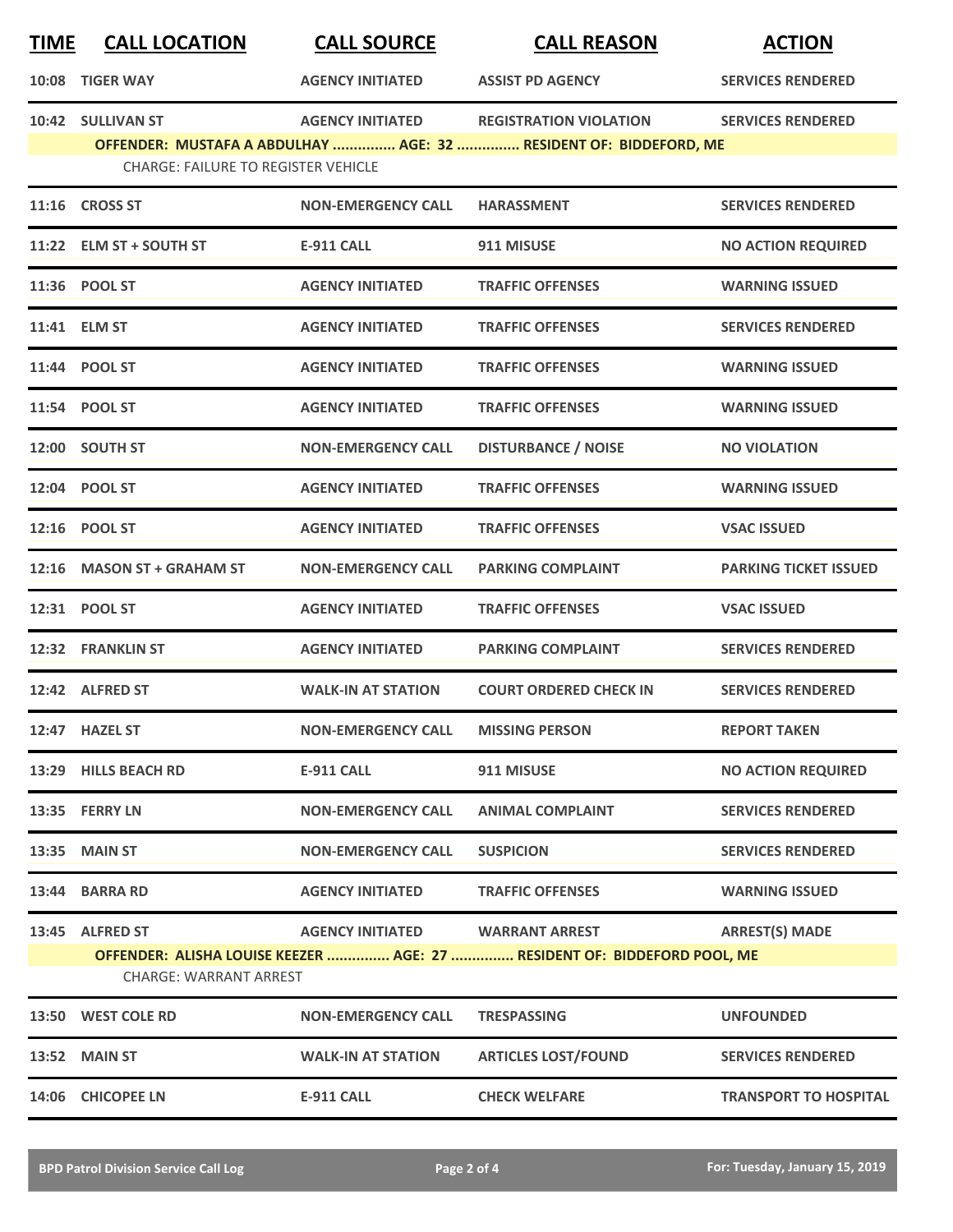| <u>TIME</u> | <b>CALL LOCATION</b>                                            | <b>CALL SOURCE</b>              | <b>CALL REASON</b>                                                                                 | <b>ACTION</b>                |
|-------------|-----------------------------------------------------------------|---------------------------------|----------------------------------------------------------------------------------------------------|------------------------------|
|             | 10:08 TIGER WAY                                                 | <b>AGENCY INITIATED</b>         | <b>ASSIST PD AGENCY</b>                                                                            | <b>SERVICES RENDERED</b>     |
|             | 10:42 SULLIVAN ST<br><b>CHARGE: FAILURE TO REGISTER VEHICLE</b> | <b>AGENCY INITIATED</b>         | <b>REGISTRATION VIOLATION</b><br>OFFENDER: MUSTAFA A ABDULHAY  AGE: 32  RESIDENT OF: BIDDEFORD, ME | <b>SERVICES RENDERED</b>     |
|             | 11:16 CROSS ST                                                  | <b>NON-EMERGENCY CALL</b>       | <b>HARASSMENT</b>                                                                                  | <b>SERVICES RENDERED</b>     |
|             | 11:22 ELM ST + SOUTH ST                                         | <b>E-911 CALL</b>               | 911 MISUSE                                                                                         | <b>NO ACTION REQUIRED</b>    |
|             | 11:36 POOL ST                                                   | <b>AGENCY INITIATED</b>         | <b>TRAFFIC OFFENSES</b>                                                                            | <b>WARNING ISSUED</b>        |
|             | 11:41 ELM ST                                                    | <b>AGENCY INITIATED</b>         | <b>TRAFFIC OFFENSES</b>                                                                            | <b>SERVICES RENDERED</b>     |
|             | 11:44 POOL ST                                                   | <b>AGENCY INITIATED</b>         | <b>TRAFFIC OFFENSES</b>                                                                            | <b>WARNING ISSUED</b>        |
|             | 11:54 POOL ST                                                   | <b>AGENCY INITIATED</b>         | <b>TRAFFIC OFFENSES</b>                                                                            | <b>WARNING ISSUED</b>        |
|             | 12:00 SOUTH ST                                                  | <b>NON-EMERGENCY CALL</b>       | <b>DISTURBANCE / NOISE</b>                                                                         | <b>NO VIOLATION</b>          |
|             | 12:04 POOL ST                                                   | <b>AGENCY INITIATED</b>         | <b>TRAFFIC OFFENSES</b>                                                                            | <b>WARNING ISSUED</b>        |
|             | 12:16 POOL ST                                                   | <b>AGENCY INITIATED</b>         | <b>TRAFFIC OFFENSES</b>                                                                            | <b>VSAC ISSUED</b>           |
|             | 12:16 MASON ST + GRAHAM ST                                      | <b>NON-EMERGENCY CALL</b>       | <b>PARKING COMPLAINT</b>                                                                           | <b>PARKING TICKET ISSUED</b> |
|             | 12:31 POOL ST                                                   | <b>AGENCY INITIATED</b>         | <b>TRAFFIC OFFENSES</b>                                                                            | <b>VSAC ISSUED</b>           |
|             | 12:32 FRANKLIN ST                                               | <b>AGENCY INITIATED</b>         | <b>PARKING COMPLAINT</b>                                                                           | <b>SERVICES RENDERED</b>     |
|             | 12:42 ALFRED ST                                                 | <b>WALK-IN AT STATION</b>       | <b>COURT ORDERED CHECK IN</b>                                                                      | <b>SERVICES RENDERED</b>     |
|             | 12:47 HAZEL ST                                                  | <b>NON-EMERGENCY CALL</b>       | <b>MISSING PERSON</b>                                                                              | <b>REPORT TAKEN</b>          |
|             | 13:29 HILLS BEACH RD                                            | <b>E-911 CALL</b>               | 911 MISUSE                                                                                         | <b>NO ACTION REQUIRED</b>    |
|             | 13:35 FERRY LN                                                  | <b>NON-EMERGENCY CALL</b>       | <b>ANIMAL COMPLAINT</b>                                                                            | <b>SERVICES RENDERED</b>     |
|             | <b>13:35 MAIN ST</b>                                            | <b>NON-EMERGENCY CALL</b>       | <b>SUSPICION</b>                                                                                   | <b>SERVICES RENDERED</b>     |
|             | 13:44 BARRA RD                                                  | <b>AGENCY INITIATED</b>         | <b>TRAFFIC OFFENSES</b>                                                                            | <b>WARNING ISSUED</b>        |
|             | 13:45 ALFRED ST<br>CHARGE: WARRANT ARREST                       | AGENCY INITIATED WARRANT ARREST | OFFENDER: ALISHA LOUISE KEEZER  AGE: 27  RESIDENT OF: BIDDEFORD POOL, ME                           | <b>ARREST(S) MADE</b>        |
|             | 13:50 WEST COLE RD                                              | <b>NON-EMERGENCY CALL</b>       | <b>TRESPASSING</b>                                                                                 | <b>UNFOUNDED</b>             |
|             | <b>13:52 MAIN ST</b>                                            | <b>WALK-IN AT STATION</b>       | <b>ARTICLES LOST/FOUND</b>                                                                         | <b>SERVICES RENDERED</b>     |
|             | 14:06 CHICOPEE LN                                               | <b>E-911 CALL</b>               | <b>CHECK WELFARE</b>                                                                               | <b>TRANSPORT TO HOSPITAL</b> |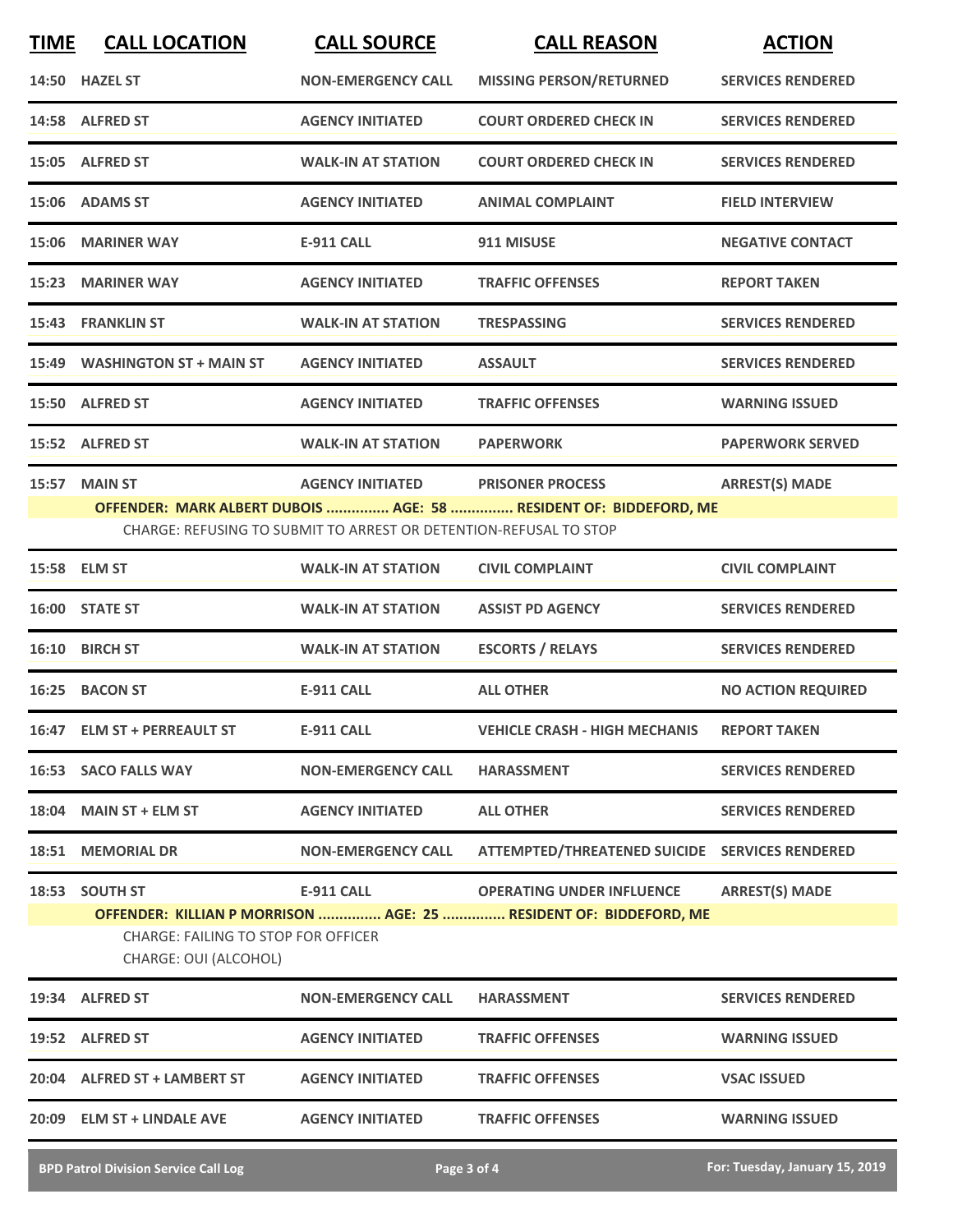| <b>TIME</b> | <b>CALL LOCATION</b>                                         | <b>CALL SOURCE</b>                                                | <b>CALL REASON</b>                                                | <b>ACTION</b>             |
|-------------|--------------------------------------------------------------|-------------------------------------------------------------------|-------------------------------------------------------------------|---------------------------|
|             | 14:50 HAZEL ST                                               | <b>NON-EMERGENCY CALL</b>                                         | <b>MISSING PERSON/RETURNED</b>                                    | <b>SERVICES RENDERED</b>  |
|             | 14:58 ALFRED ST                                              | <b>AGENCY INITIATED</b>                                           | <b>COURT ORDERED CHECK IN</b>                                     | <b>SERVICES RENDERED</b>  |
|             | 15:05 ALFRED ST                                              | <b>WALK-IN AT STATION</b>                                         | <b>COURT ORDERED CHECK IN</b>                                     | <b>SERVICES RENDERED</b>  |
|             | 15:06 ADAMS ST                                               | <b>AGENCY INITIATED</b>                                           | <b>ANIMAL COMPLAINT</b>                                           | <b>FIELD INTERVIEW</b>    |
|             | 15:06 MARINER WAY                                            | <b>E-911 CALL</b>                                                 | 911 MISUSE                                                        | <b>NEGATIVE CONTACT</b>   |
|             | 15:23 MARINER WAY                                            | <b>AGENCY INITIATED</b>                                           | <b>TRAFFIC OFFENSES</b>                                           | <b>REPORT TAKEN</b>       |
|             | 15:43 FRANKLIN ST                                            | <b>WALK-IN AT STATION</b>                                         | <b>TRESPASSING</b>                                                | <b>SERVICES RENDERED</b>  |
|             | 15:49 WASHINGTON ST + MAIN ST                                | <b>AGENCY INITIATED</b>                                           | <b>ASSAULT</b>                                                    | <b>SERVICES RENDERED</b>  |
|             | 15:50 ALFRED ST                                              | <b>AGENCY INITIATED</b>                                           | <b>TRAFFIC OFFENSES</b>                                           | <b>WARNING ISSUED</b>     |
|             | 15:52 ALFRED ST                                              | <b>WALK-IN AT STATION</b>                                         | <b>PAPERWORK</b>                                                  | <b>PAPERWORK SERVED</b>   |
|             | 15:57 MAIN ST                                                | <b>AGENCY INITIATED</b>                                           | <b>PRISONER PROCESS</b>                                           | <b>ARREST(S) MADE</b>     |
|             |                                                              |                                                                   | OFFENDER: MARK ALBERT DUBOIS  AGE: 58  RESIDENT OF: BIDDEFORD, ME |                           |
|             |                                                              | CHARGE: REFUSING TO SUBMIT TO ARREST OR DETENTION-REFUSAL TO STOP |                                                                   |                           |
|             | 15:58 ELM ST                                                 | <b>WALK-IN AT STATION</b>                                         | <b>CIVIL COMPLAINT</b>                                            | <b>CIVIL COMPLAINT</b>    |
| 16:00       | <b>STATE ST</b>                                              | <b>WALK-IN AT STATION</b>                                         | <b>ASSIST PD AGENCY</b>                                           | <b>SERVICES RENDERED</b>  |
|             | 16:10 BIRCH ST                                               | <b>WALK-IN AT STATION</b>                                         | <b>ESCORTS / RELAYS</b>                                           | <b>SERVICES RENDERED</b>  |
|             | 16:25 BACON ST                                               | <b>E-911 CALL</b>                                                 | <b>ALL OTHER</b>                                                  | <b>NO ACTION REQUIRED</b> |
|             | 16:47 ELM ST + PERREAULT ST                                  | <b>E-911 CALL</b>                                                 | <b>VEHICLE CRASH - HIGH MECHANIS</b>                              | <b>REPORT TAKEN</b>       |
|             | <b>16:53 SACO FALLS WAY</b>                                  | <b>NON-EMERGENCY CALL</b>                                         | <b>HARASSMENT</b>                                                 | <b>SERVICES RENDERED</b>  |
|             | 18:04 MAIN ST + ELM ST                                       | <b>AGENCY INITIATED</b>                                           | <b>ALL OTHER</b>                                                  | <b>SERVICES RENDERED</b>  |
|             | 18:51 MEMORIAL DR                                            | <b>NON-EMERGENCY CALL</b>                                         | ATTEMPTED/THREATENED SUICIDE SERVICES RENDERED                    |                           |
|             | 18:53 SOUTH ST                                               | <b>E-911 CALL</b>                                                 | <b>OPERATING UNDER INFLUENCE</b>                                  | <b>ARREST(S) MADE</b>     |
|             |                                                              |                                                                   | OFFENDER: KILLIAN P MORRISON  AGE: 25  RESIDENT OF: BIDDEFORD, ME |                           |
|             | CHARGE: FAILING TO STOP FOR OFFICER<br>CHARGE: OUI (ALCOHOL) |                                                                   |                                                                   |                           |
|             | 19:34 ALFRED ST                                              | <b>NON-EMERGENCY CALL</b>                                         | <b>HARASSMENT</b>                                                 | <b>SERVICES RENDERED</b>  |
|             | 19:52 ALFRED ST                                              | <b>AGENCY INITIATED</b>                                           | <b>TRAFFIC OFFENSES</b>                                           | <b>WARNING ISSUED</b>     |
|             | 20:04 ALFRED ST + LAMBERT ST                                 | <b>AGENCY INITIATED</b>                                           | <b>TRAFFIC OFFENSES</b>                                           | <b>VSAC ISSUED</b>        |
|             | 20:09 ELM ST + LINDALE AVE                                   | <b>AGENCY INITIATED</b>                                           | <b>TRAFFIC OFFENSES</b>                                           | <b>WARNING ISSUED</b>     |

**BPD Patrol Division Service Call Log Page 3 of 4 For: Tuesday, January 15, 2019**